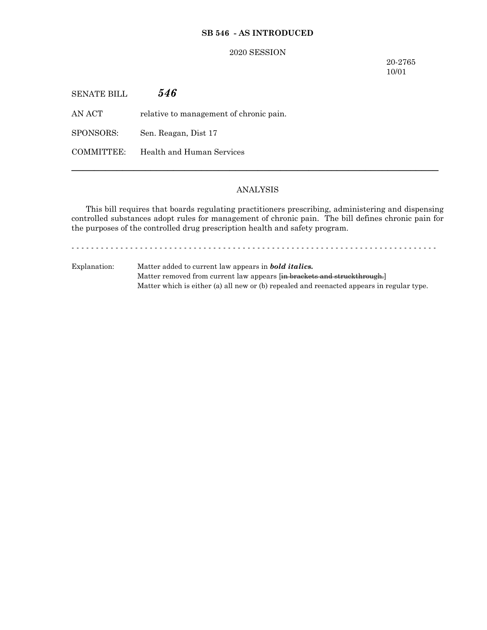# **SB 546 - AS INTRODUCED**

### 2020 SESSION

20-2765 10/01

| <b>SENATE BILL</b> | 546                                     |
|--------------------|-----------------------------------------|
| AN ACT             | relative to management of chronic pain. |
| SPONSORS:          | Sen. Reagan, Dist 17                    |
| COMMITTEE:         | Health and Human Services               |

## ANALYSIS

─────────────────────────────────────────────────────────────────

This bill requires that boards regulating practitioners prescribing, administering and dispensing controlled substances adopt rules for management of chronic pain. The bill defines chronic pain for the purposes of the controlled drug prescription health and safety program.

- - - - - - - - - - - - - - - - - - - - - - - - - - - - - - - - - - - - - - - - - - - - - - - - - - - - - - - - - - - - - - - - - - - - - - - - - - -

Explanation: Matter added to current law appears in *bold italics.* Matter removed from current law appears [in brackets and struckthrough.] Matter which is either (a) all new or (b) repealed and reenacted appears in regular type.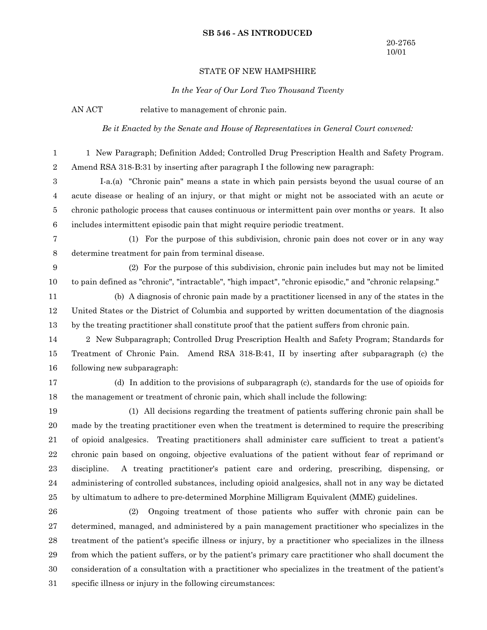#### **SB 546 - AS INTRODUCED**

## STATE OF NEW HAMPSHIRE

*In the Year of Our Lord Two Thousand Twenty*

AN ACT relative to management of chronic pain.

*Be it Enacted by the Senate and House of Representatives in General Court convened:*

1 New Paragraph; Definition Added; Controlled Drug Prescription Health and Safety Program. Amend RSA 318-B:31 by inserting after paragraph I the following new paragraph: 1 2

I-a.(a) "Chronic pain" means a state in which pain persists beyond the usual course of an acute disease or healing of an injury, or that might or might not be associated with an acute or chronic pathologic process that causes continuous or intermittent pain over months or years. It also includes intermittent episodic pain that might require periodic treatment. 3 4 5 6

7 8

(1) For the purpose of this subdivision, chronic pain does not cover or in any way determine treatment for pain from terminal disease.

(2) For the purpose of this subdivision, chronic pain includes but may not be limited to pain defined as "chronic", "intractable", "high impact", "chronic episodic," and "chronic relapsing." 9 10

(b) A diagnosis of chronic pain made by a practitioner licensed in any of the states in the United States or the District of Columbia and supported by written documentation of the diagnosis by the treating practitioner shall constitute proof that the patient suffers from chronic pain. 11 12 13

2 New Subparagraph; Controlled Drug Prescription Health and Safety Program; Standards for Treatment of Chronic Pain. Amend RSA 318-B:41, II by inserting after subparagraph (c) the following new subparagraph: 14 15 16

17

(d) In addition to the provisions of subparagraph (c), standards for the use of opioids for the management or treatment of chronic pain, which shall include the following: 18

(1) All decisions regarding the treatment of patients suffering chronic pain shall be made by the treating practitioner even when the treatment is determined to require the prescribing of opioid analgesics. Treating practitioners shall administer care sufficient to treat a patient's chronic pain based on ongoing, objective evaluations of the patient without fear of reprimand or discipline. A treating practitioner's patient care and ordering, prescribing, dispensing, or administering of controlled substances, including opioid analgesics, shall not in any way be dictated by ultimatum to adhere to pre-determined Morphine Milligram Equivalent (MME) guidelines. 19 20 21 22 23 24 25

(2) Ongoing treatment of those patients who suffer with chronic pain can be determined, managed, and administered by a pain management practitioner who specializes in the treatment of the patient's specific illness or injury, by a practitioner who specializes in the illness from which the patient suffers, or by the patient's primary care practitioner who shall document the consideration of a consultation with a practitioner who specializes in the treatment of the patient's specific illness or injury in the following circumstances: 26 27 28 29 30 31